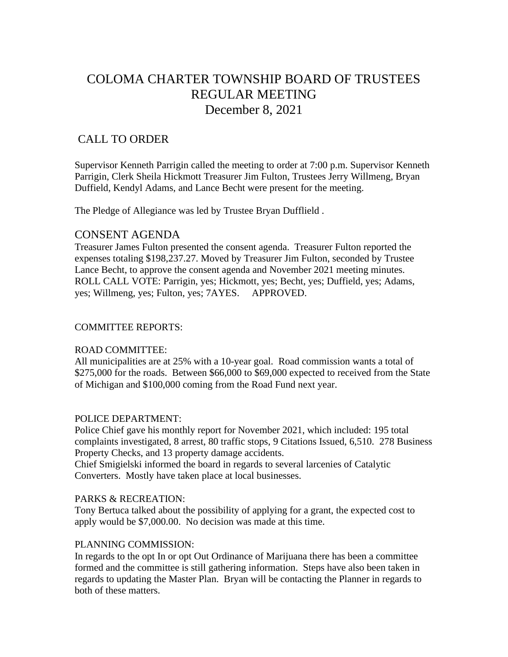# COLOMA CHARTER TOWNSHIP BOARD OF TRUSTEES REGULAR MEETING December 8, 2021

# CALL TO ORDER

Supervisor Kenneth Parrigin called the meeting to order at 7:00 p.m. Supervisor Kenneth Parrigin, Clerk Sheila Hickmott Treasurer Jim Fulton, Trustees Jerry Willmeng, Bryan Duffield, Kendyl Adams, and Lance Becht were present for the meeting.

The Pledge of Allegiance was led by Trustee Bryan Dufflield .

# CONSENT AGENDA

Treasurer James Fulton presented the consent agenda. Treasurer Fulton reported the expenses totaling \$198,237.27. Moved by Treasurer Jim Fulton, seconded by Trustee Lance Becht, to approve the consent agenda and November 2021 meeting minutes. ROLL CALL VOTE: Parrigin, yes; Hickmott, yes; Becht, yes; Duffield, yes; Adams, yes; Willmeng, yes; Fulton, yes; 7AYES. APPROVED.

#### COMMITTEE REPORTS:

# ROAD COMMITTEE:

All municipalities are at 25% with a 10-year goal. Road commission wants a total of \$275,000 for the roads. Between \$66,000 to \$69,000 expected to received from the State of Michigan and \$100,000 coming from the Road Fund next year.

# POLICE DEPARTMENT:

Police Chief gave his monthly report for November 2021, which included: 195 total complaints investigated, 8 arrest, 80 traffic stops, 9 Citations Issued, 6,510. 278 Business Property Checks, and 13 property damage accidents.

Chief Smigielski informed the board in regards to several larcenies of Catalytic Converters. Mostly have taken place at local businesses.

#### PARKS & RECREATION:

Tony Bertuca talked about the possibility of applying for a grant, the expected cost to apply would be \$7,000.00. No decision was made at this time.

#### PLANNING COMMISSION:

In regards to the opt In or opt Out Ordinance of Marijuana there has been a committee formed and the committee is still gathering information. Steps have also been taken in regards to updating the Master Plan. Bryan will be contacting the Planner in regards to both of these matters.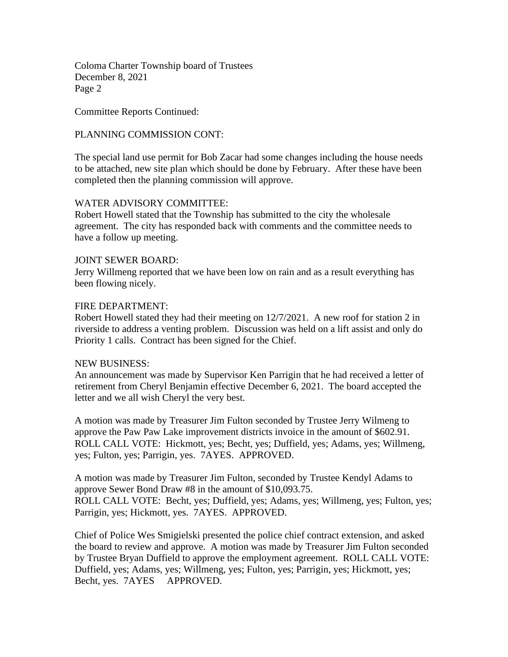Coloma Charter Township board of Trustees December 8, 2021 Page 2

Committee Reports Continued:

# PLANNING COMMISSION CONT:

The special land use permit for Bob Zacar had some changes including the house needs to be attached, new site plan which should be done by February. After these have been completed then the planning commission will approve.

# WATER ADVISORY COMMITTEE:

Robert Howell stated that the Township has submitted to the city the wholesale agreement. The city has responded back with comments and the committee needs to have a follow up meeting.

#### JOINT SEWER BOARD:

Jerry Willmeng reported that we have been low on rain and as a result everything has been flowing nicely.

#### FIRE DEPARTMENT:

Robert Howell stated they had their meeting on 12/7/2021. A new roof for station 2 in riverside to address a venting problem. Discussion was held on a lift assist and only do Priority 1 calls. Contract has been signed for the Chief.

#### NEW BUSINESS:

An announcement was made by Supervisor Ken Parrigin that he had received a letter of retirement from Cheryl Benjamin effective December 6, 2021. The board accepted the letter and we all wish Cheryl the very best.

A motion was made by Treasurer Jim Fulton seconded by Trustee Jerry Wilmeng to approve the Paw Paw Lake improvement districts invoice in the amount of \$602.91. ROLL CALL VOTE: Hickmott, yes; Becht, yes; Duffield, yes; Adams, yes; Willmeng, yes; Fulton, yes; Parrigin, yes. 7AYES. APPROVED.

A motion was made by Treasurer Jim Fulton, seconded by Trustee Kendyl Adams to approve Sewer Bond Draw #8 in the amount of \$10,093.75. ROLL CALL VOTE: Becht, yes; Duffield, yes; Adams, yes; Willmeng, yes; Fulton, yes; Parrigin, yes; Hickmott, yes. 7AYES. APPROVED.

Chief of Police Wes Smigielski presented the police chief contract extension, and asked the board to review and approve. A motion was made by Treasurer Jim Fulton seconded by Trustee Bryan Duffield to approve the employment agreement. ROLL CALL VOTE: Duffield, yes; Adams, yes; Willmeng, yes; Fulton, yes; Parrigin, yes; Hickmott, yes; Becht, yes. 7AYES APPROVED.